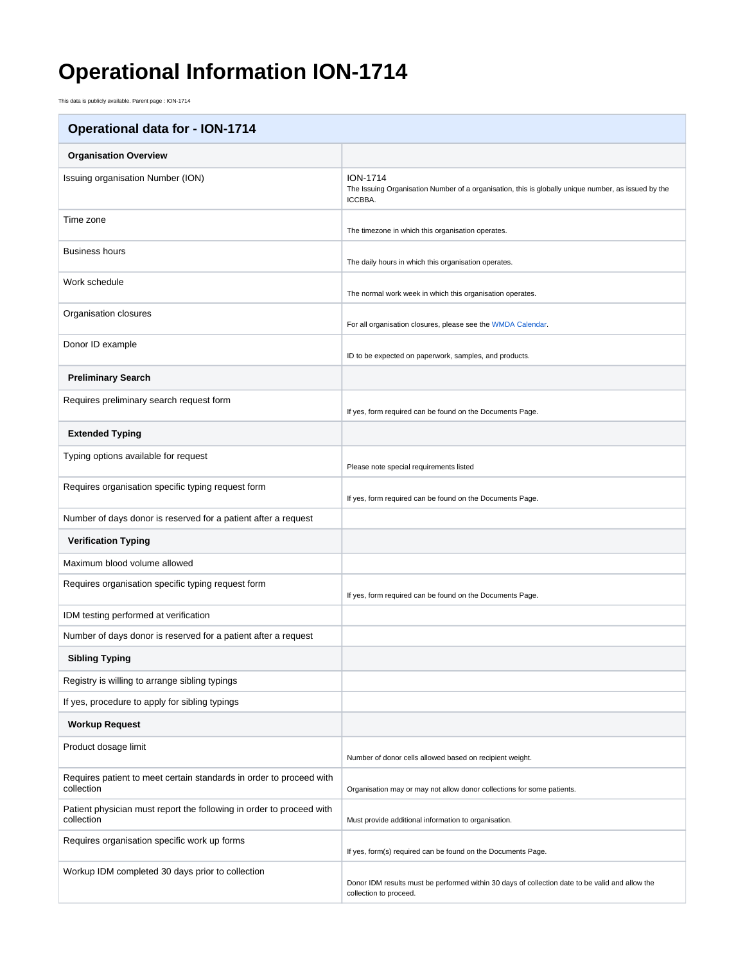## **Operational Information ION-1714**

This data is publicly available. Parent page : ION-1714

| <b>Operational data for - ION-1714</b>                                             |                                                                                                                                   |
|------------------------------------------------------------------------------------|-----------------------------------------------------------------------------------------------------------------------------------|
| <b>Organisation Overview</b>                                                       |                                                                                                                                   |
| Issuing organisation Number (ION)                                                  | <b>ION-1714</b><br>The Issuing Organisation Number of a organisation, this is globally unique number, as issued by the<br>ICCBBA. |
| Time zone                                                                          | The timezone in which this organisation operates.                                                                                 |
| <b>Business hours</b>                                                              | The daily hours in which this organisation operates.                                                                              |
| Work schedule                                                                      | The normal work week in which this organisation operates.                                                                         |
| Organisation closures                                                              | For all organisation closures, please see the WMDA Calendar.                                                                      |
| Donor ID example                                                                   | ID to be expected on paperwork, samples, and products.                                                                            |
| <b>Preliminary Search</b>                                                          |                                                                                                                                   |
| Requires preliminary search request form                                           | If yes, form required can be found on the Documents Page.                                                                         |
| <b>Extended Typing</b>                                                             |                                                                                                                                   |
| Typing options available for request                                               | Please note special requirements listed                                                                                           |
| Requires organisation specific typing request form                                 | If yes, form required can be found on the Documents Page.                                                                         |
| Number of days donor is reserved for a patient after a request                     |                                                                                                                                   |
| <b>Verification Typing</b>                                                         |                                                                                                                                   |
| Maximum blood volume allowed                                                       |                                                                                                                                   |
| Requires organisation specific typing request form                                 | If yes, form required can be found on the Documents Page.                                                                         |
| IDM testing performed at verification                                              |                                                                                                                                   |
| Number of days donor is reserved for a patient after a request                     |                                                                                                                                   |
| <b>Sibling Typing</b>                                                              |                                                                                                                                   |
| Registry is willing to arrange sibling typings                                     |                                                                                                                                   |
| If yes, procedure to apply for sibling typings                                     |                                                                                                                                   |
| <b>Workup Request</b>                                                              |                                                                                                                                   |
| Product dosage limit                                                               | Number of donor cells allowed based on recipient weight.                                                                          |
| Requires patient to meet certain standards in order to proceed with<br>collection  | Organisation may or may not allow donor collections for some patients.                                                            |
| Patient physician must report the following in order to proceed with<br>collection | Must provide additional information to organisation.                                                                              |
| Requires organisation specific work up forms                                       | If yes, form(s) required can be found on the Documents Page.                                                                      |
| Workup IDM completed 30 days prior to collection                                   | Donor IDM results must be performed within 30 days of collection date to be valid and allow the<br>collection to proceed.         |